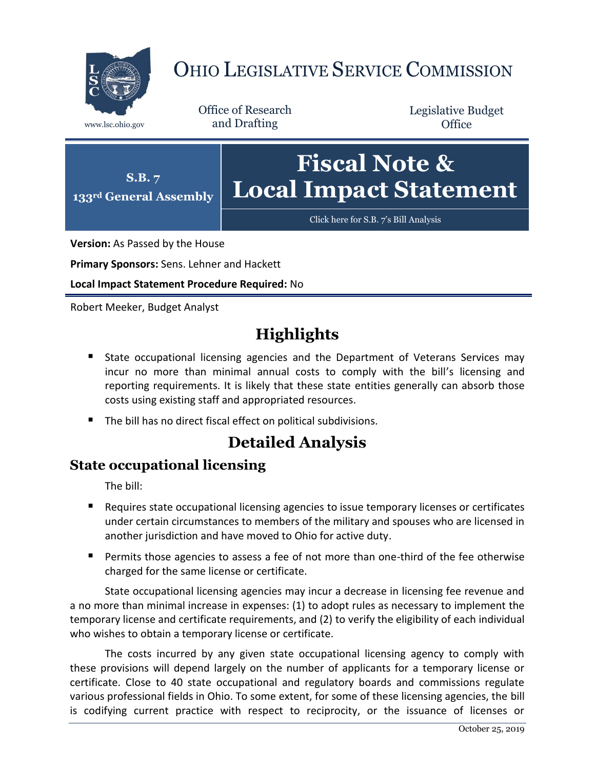

# OHIO LEGISLATIVE SERVICE COMMISSION

Office of Research www.lsc.ohio.gov and Drafting

Legislative Budget **Office** 



[Click here for S.B.](https://www.legislature.ohio.gov/legislation/legislation-documents?id=GA133-SB-7) 7's Bill Analysis

**Version:** As Passed by the House

**Primary Sponsors:** Sens. Lehner and Hackett

**Local Impact Statement Procedure Required:** No

Robert Meeker, Budget Analyst

## **Highlights**

- **State occupational licensing agencies and the Department of Veterans Services may** incur no more than minimal annual costs to comply with the bill's licensing and reporting requirements. It is likely that these state entities generally can absorb those costs using existing staff and appropriated resources.
- The bill has no direct fiscal effect on political subdivisions.

## **Detailed Analysis**

#### **State occupational licensing**

The bill:

- Requires state occupational licensing agencies to issue temporary licenses or certificates under certain circumstances to members of the military and spouses who are licensed in another jurisdiction and have moved to Ohio for active duty.
- **Permits those agencies to assess a fee of not more than one-third of the fee otherwise** charged for the same license or certificate.

State occupational licensing agencies may incur a decrease in licensing fee revenue and a no more than minimal increase in expenses: (1) to adopt rules as necessary to implement the temporary license and certificate requirements, and (2) to verify the eligibility of each individual who wishes to obtain a temporary license or certificate.

The costs incurred by any given state occupational licensing agency to comply with these provisions will depend largely on the number of applicants for a temporary license or certificate. Close to 40 state occupational and regulatory boards and commissions regulate various professional fields in Ohio. To some extent, for some of these licensing agencies, the bill is codifying current practice with respect to reciprocity, or the issuance of licenses or